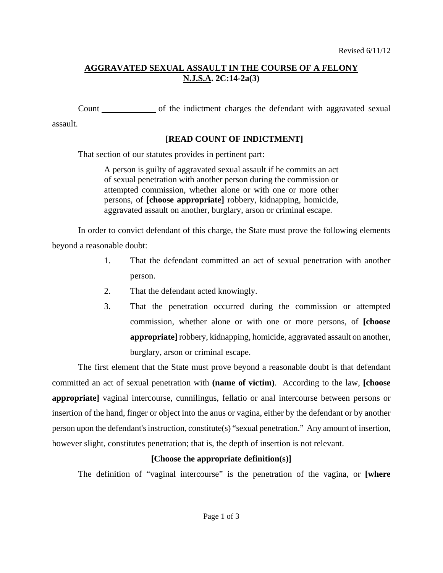# **AGGRAVATED SEXUAL ASSAULT IN THE COURSE OF A FELONY N.J.S.A. 2C:14-2a(3)**

Count of the indictment charges the defendant with aggravated sexual

assault.

## **[READ COUNT OF INDICTMENT]**

That section of our statutes provides in pertinent part:

A person is guilty of aggravated sexual assault if he commits an act of sexual penetration with another person during the commission or attempted commission, whether alone or with one or more other persons, of **[choose appropriate]** robbery, kidnapping, homicide, aggravated assault on another, burglary, arson or criminal escape.

In order to convict defendant of this charge, the State must prove the following elements beyond a reasonable doubt:

- 1. That the defendant committed an act of sexual penetration with another person.
- 2. That the defendant acted knowingly.
- 3. That the penetration occurred during the commission or attempted commission, whether alone or with one or more persons, of **[choose appropriate]** robbery, kidnapping, homicide, aggravated assault on another, burglary, arson or criminal escape.

<span id="page-0-0"></span>The first element that the State must prove beyond a reasonable doubt is that defendant committed an act of sexual penetration with **(name of victim)**. According to the law, **[choose appropriate**] vaginal intercourse, cunnilingus, fellatio or anal intercourse between persons or insertion of the hand, finger or object into the anus or vagina, either by the defendant or by another person upon the defendant's instruction, constitute(s) "sexual penetration." Any amount of insertion, however slight, constitutes penetration; that is, the depth of insertion is not relevant.

## **[Choose the appropriate definition(s)]**

The definition of "vaginal intercourse" is the penetration of the vagina, or **[where**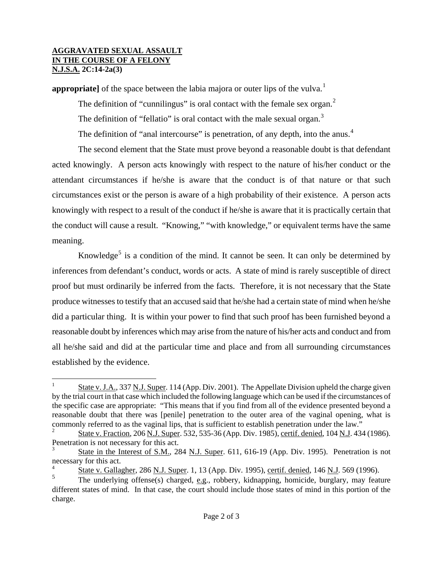### **AGGRAVATED SEXUAL ASSAULT IN THE COURSE OF A FELONY N.J.S.A. 2C:14-2a(3)**

**appropriate**] of the space between the labia majora or outer lips of the vulva.<sup>[1](#page-0-0)</sup>

The definition of "cunnilingus" is oral contact with the female sex organ. $<sup>2</sup>$  $<sup>2</sup>$  $<sup>2</sup>$ </sup> The definition of "fellatio" is oral contact with the male sexual organ.<sup>[3](#page-1-1)</sup> The definition of "anal intercourse" is penetration, of any depth, into the anus.<sup>[4](#page-1-2)</sup>

The second element that the State must prove beyond a reasonable doubt is that defendant acted knowingly. A person acts knowingly with respect to the nature of his/her conduct or the attendant circumstances if he/she is aware that the conduct is of that nature or that such circumstances exist or the person is aware of a high probability of their existence. A person acts knowingly with respect to a result of the conduct if he/she is aware that it is practically certain that the conduct will cause a result. "Knowing," "with knowledge," or equivalent terms have the same meaning.

Knowledge<sup>[5](#page-1-3)</sup> is a condition of the mind. It cannot be seen. It can only be determined by inferences from defendant's conduct, words or acts. A state of mind is rarely susceptible of direct proof but must ordinarily be inferred from the facts. Therefore, it is not necessary that the State produce witnesses to testify that an accused said that he/she had a certain state of mind when he/she did a particular thing. It is within your power to find that such proof has been furnished beyond a reasonable doubt by inferences which may arise from the nature of his/her acts and conduct and from all he/she said and did at the particular time and place and from all surrounding circumstances established by the evidence.

 $\frac{1}{1}$  State v. J.A., 337 N.J. Super. 114 (App. Div. 2001). The Appellate Division upheld the charge given by the trial court in that case which included the following language which can be used if the circumstances of the specific case are appropriate: "This means that if you find from all of the evidence presented beyond a reasonable doubt that there was [penile] penetration to the outer area of the vaginal opening, what is commonly referred to as the vaginal lips, that is sufficient to establish penetration under the law."

<span id="page-1-4"></span><span id="page-1-0"></span><sup>2</sup> State v. Fraction, 206 N.J. Super. 532, 535-36 (App. Div. 1985), certif. denied, 104 N.J. 434 (1986). Penetration is not necessary for this act.

<span id="page-1-1"></span><sup>3</sup> State in the Interest of S.M., 284 N.J. Super. 611, 616-19 (App. Div. 1995). Penetration is not necessary for this act.

<span id="page-1-2"></span><sup>4</sup>  $\frac{1}{5}$  State v. Gallagher, 286 N.J. Super. 1, 13 (App. Div. 1995), certif. denied, 146 N.J. 569 (1996).

<span id="page-1-3"></span>The underlying offense(s) charged, e.g., robbery, kidnapping, homicide, burglary, may feature different states of mind. In that case, the court should include those states of mind in this portion of the charge.